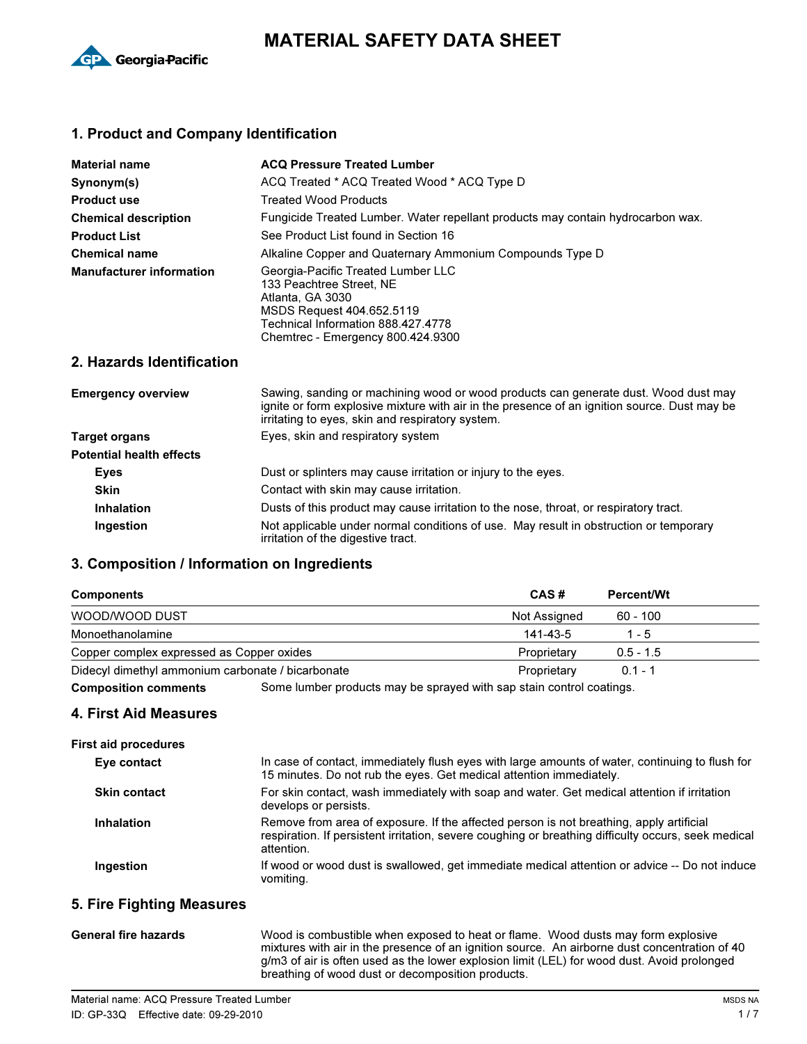

# **MATERIAL SAFETY DATA SHEET**

### . **1. Product and Company Identification**

| <b>Material name</b>            | <b>ACQ Pressure Treated Lumber</b>                                                                                                                                                         |  |  |
|---------------------------------|--------------------------------------------------------------------------------------------------------------------------------------------------------------------------------------------|--|--|
| Synonym(s)                      | ACQ Treated * ACQ Treated Wood * ACQ Type D                                                                                                                                                |  |  |
| <b>Product use</b>              | Treated Wood Products                                                                                                                                                                      |  |  |
| <b>Chemical description</b>     | Fungicide Treated Lumber. Water repellant products may contain hydrocarbon wax.                                                                                                            |  |  |
| <b>Product List</b>             | See Product List found in Section 16                                                                                                                                                       |  |  |
| <b>Chemical name</b>            | Alkaline Copper and Quaternary Ammonium Compounds Type D                                                                                                                                   |  |  |
| <b>Manufacturer information</b> | Georgia-Pacific Treated Lumber LLC<br>133 Peachtree Street, NE<br>Atlanta, GA 3030<br>MSDS Request 404.652.5119<br>Technical Information 888.427.4778<br>Chemtrec - Emergency 800.424.9300 |  |  |

### **2. Hazards Identification**

| <b>Emergency overview</b>       | Sawing, sanding or machining wood or wood products can generate dust. Wood dust may<br>ignite or form explosive mixture with air in the presence of an ignition source. Dust may be<br>irritating to eyes, skin and respiratory system. |  |
|---------------------------------|-----------------------------------------------------------------------------------------------------------------------------------------------------------------------------------------------------------------------------------------|--|
| Target organs                   | Eyes, skin and respiratory system                                                                                                                                                                                                       |  |
| <b>Potential health effects</b> |                                                                                                                                                                                                                                         |  |
| <b>Eves</b>                     | Dust or splinters may cause irritation or injury to the eyes.                                                                                                                                                                           |  |
| <b>Skin</b>                     | Contact with skin may cause irritation.                                                                                                                                                                                                 |  |
| <b>Inhalation</b>               | Dusts of this product may cause irritation to the nose, throat, or respiratory tract.                                                                                                                                                   |  |
| <b>Ingestion</b>                | Not applicable under normal conditions of use. May result in obstruction or temporary<br>irritation of the digestive tract.                                                                                                             |  |

## . **3. Composition / Information on Ingredients**

| <b>Components</b>                                 | CAS#         | <b>Percent/Wt</b> |
|---------------------------------------------------|--------------|-------------------|
| WOOD/WOOD DUST                                    | Not Assigned | 60 - 100          |
| Monoethanolamine                                  | 141-43-5     | 1 - 5             |
| Copper complex expressed as Copper oxides         | Proprietary  | $0.5 - 1.5$       |
| Didecyl dimethyl ammonium carbonate / bicarbonate | Proprietary  | $0.1 - 1$         |

**Composition comments** Some lumber products may be sprayed with sap stain control coatings.

### **4. First Aid Measures**

| <b>First aid procedures</b> |                                                                                                                                                                                                              |
|-----------------------------|--------------------------------------------------------------------------------------------------------------------------------------------------------------------------------------------------------------|
| Eye contact                 | In case of contact, immediately flush eyes with large amounts of water, continuing to flush for<br>15 minutes. Do not rub the eyes. Get medical attention immediately.                                       |
| <b>Skin contact</b>         | For skin contact, wash immediately with soap and water. Get medical attention if irritation<br>develops or persists.                                                                                         |
| <b>Inhalation</b>           | Remove from area of exposure. If the affected person is not breathing, apply artificial<br>respiration. If persistent irritation, severe coughing or breathing difficulty occurs, seek medical<br>attention. |
| Ingestion                   | If wood or wood dust is swallowed, get immediate medical attention or advice -- Do not induce<br>vomiting.                                                                                                   |
| E. Eiro Einhting Monouron   |                                                                                                                                                                                                              |

#### **5. Fire Fighting Measures**

| <b>General fire hazards</b> | Wood is combustible when exposed to heat or flame. Wood dusts may form explosive<br>mixtures with air in the presence of an ignition source. An airborne dust concentration of 40<br>g/m3 of air is often used as the lower explosion limit (LEL) for wood dust. Avoid prolonged<br>breathing of wood dust or decomposition products. |
|-----------------------------|---------------------------------------------------------------------------------------------------------------------------------------------------------------------------------------------------------------------------------------------------------------------------------------------------------------------------------------|
|                             |                                                                                                                                                                                                                                                                                                                                       |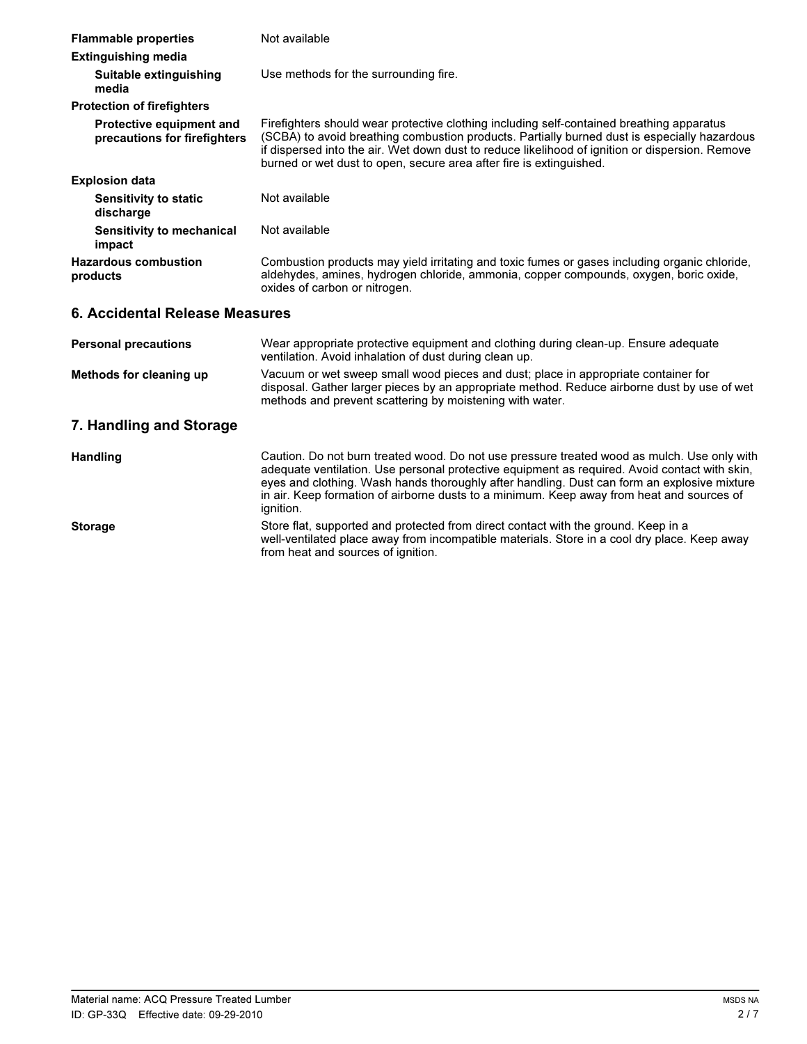| <b>Flammable properties</b>                              | Not available                                                                                                                                                                                                                                                                                                                                                                                         |  |  |
|----------------------------------------------------------|-------------------------------------------------------------------------------------------------------------------------------------------------------------------------------------------------------------------------------------------------------------------------------------------------------------------------------------------------------------------------------------------------------|--|--|
| <b>Extinguishing media</b>                               |                                                                                                                                                                                                                                                                                                                                                                                                       |  |  |
| Suitable extinguishing<br>media                          | Use methods for the surrounding fire.                                                                                                                                                                                                                                                                                                                                                                 |  |  |
| <b>Protection of firefighters</b>                        |                                                                                                                                                                                                                                                                                                                                                                                                       |  |  |
| Protective equipment and<br>precautions for firefighters | Firefighters should wear protective clothing including self-contained breathing apparatus<br>(SCBA) to avoid breathing combustion products. Partially burned dust is especially hazardous<br>if dispersed into the air. Wet down dust to reduce likelihood of ignition or dispersion. Remove<br>burned or wet dust to open, secure area after fire is extinguished.                                   |  |  |
| <b>Explosion data</b>                                    |                                                                                                                                                                                                                                                                                                                                                                                                       |  |  |
| <b>Sensitivity to static</b><br>discharge                | Not available                                                                                                                                                                                                                                                                                                                                                                                         |  |  |
| Sensitivity to mechanical<br>impact                      | Not available                                                                                                                                                                                                                                                                                                                                                                                         |  |  |
| <b>Hazardous combustion</b><br>products                  | Combustion products may yield irritating and toxic fumes or gases including organic chloride,<br>aldehydes, amines, hydrogen chloride, ammonia, copper compounds, oxygen, boric oxide,<br>oxides of carbon or nitrogen.                                                                                                                                                                               |  |  |
| 6. Accidental Release Measures                           |                                                                                                                                                                                                                                                                                                                                                                                                       |  |  |
| <b>Personal precautions</b>                              | Wear appropriate protective equipment and clothing during clean-up. Ensure adequate<br>ventilation. Avoid inhalation of dust during clean up.                                                                                                                                                                                                                                                         |  |  |
| Methods for cleaning up                                  | Vacuum or wet sweep small wood pieces and dust; place in appropriate container for<br>disposal. Gather larger pieces by an appropriate method. Reduce airborne dust by use of wet<br>methods and prevent scattering by moistening with water.                                                                                                                                                         |  |  |
| 7. Handling and Storage                                  |                                                                                                                                                                                                                                                                                                                                                                                                       |  |  |
| <b>Handling</b>                                          | Caution. Do not burn treated wood. Do not use pressure treated wood as mulch. Use only with<br>adequate ventilation. Use personal protective equipment as required. Avoid contact with skin,<br>eyes and clothing. Wash hands thoroughly after handling. Dust can form an explosive mixture<br>in air. Keep formation of airborne dusts to a minimum. Keep away from heat and sources of<br>ignition. |  |  |
| <b>Storage</b>                                           | Store flat, supported and protected from direct contact with the ground. Keep in a<br>well-ventilated place away from incompatible materials. Store in a cool dry place. Keep away<br>from heat and sources of ignition.                                                                                                                                                                              |  |  |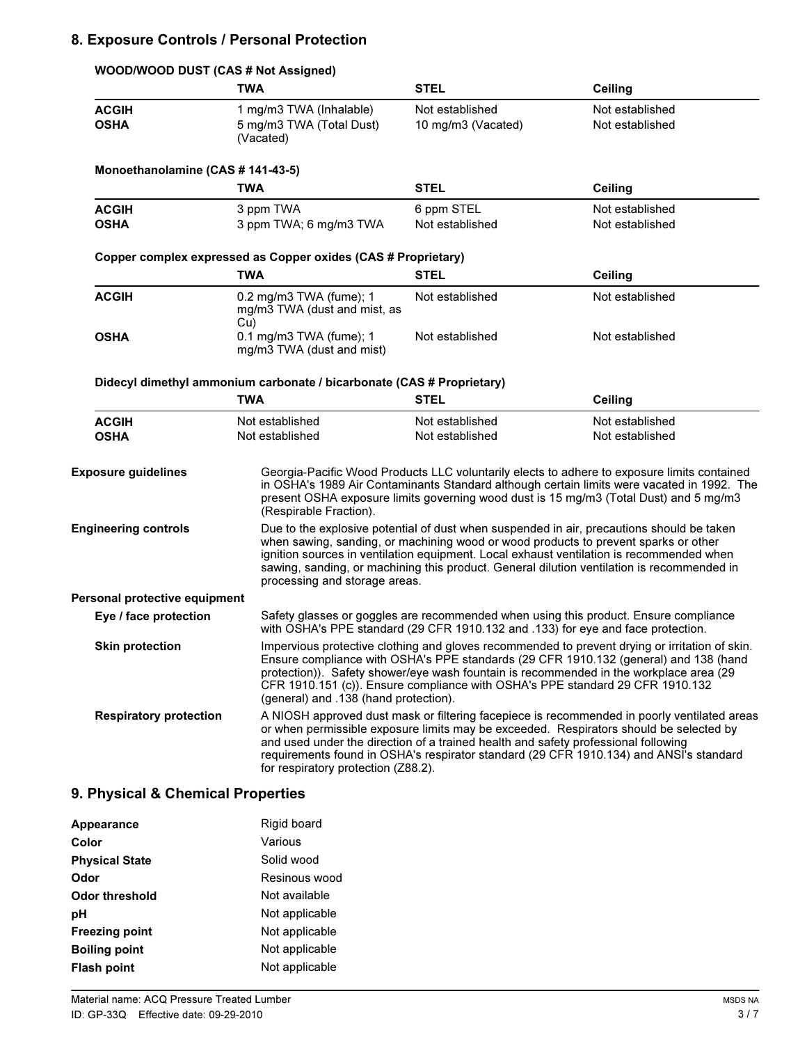### . **8. Exposure Controls / Personal Protection**

| WOOD/WOOD DUST (CAS # Not Assigned) |                                                                       |                                                                                                                                                                                                                                                                                                                                                                                                              |                                                                                                                                                                                                                                                                                    |  |
|-------------------------------------|-----------------------------------------------------------------------|--------------------------------------------------------------------------------------------------------------------------------------------------------------------------------------------------------------------------------------------------------------------------------------------------------------------------------------------------------------------------------------------------------------|------------------------------------------------------------------------------------------------------------------------------------------------------------------------------------------------------------------------------------------------------------------------------------|--|
|                                     | <b>TWA</b>                                                            | <b>STEL</b>                                                                                                                                                                                                                                                                                                                                                                                                  | <b>Ceiling</b>                                                                                                                                                                                                                                                                     |  |
| <b>ACGIH</b><br><b>OSHA</b>         | 1 mg/m3 TWA (Inhalable)<br>5 mg/m3 TWA (Total Dust)<br>(Vacated)      | Not established<br>10 mg/m3 (Vacated)                                                                                                                                                                                                                                                                                                                                                                        | Not established<br>Not established                                                                                                                                                                                                                                                 |  |
| Monoethanolamine (CAS # 141-43-5)   |                                                                       |                                                                                                                                                                                                                                                                                                                                                                                                              |                                                                                                                                                                                                                                                                                    |  |
|                                     | <b>TWA</b>                                                            | <b>STEL</b>                                                                                                                                                                                                                                                                                                                                                                                                  | <b>Ceiling</b>                                                                                                                                                                                                                                                                     |  |
| <b>ACGIH</b><br><b>OSHA</b>         | 3 ppm TWA<br>3 ppm TWA; 6 mg/m3 TWA                                   | 6 ppm STEL<br>Not established                                                                                                                                                                                                                                                                                                                                                                                | Not established<br>Not established                                                                                                                                                                                                                                                 |  |
|                                     | Copper complex expressed as Copper oxides (CAS # Proprietary)         |                                                                                                                                                                                                                                                                                                                                                                                                              |                                                                                                                                                                                                                                                                                    |  |
|                                     | TWA                                                                   | <b>STEL</b>                                                                                                                                                                                                                                                                                                                                                                                                  | <b>Ceiling</b>                                                                                                                                                                                                                                                                     |  |
| <b>ACGIH</b>                        | 0.2 mg/m3 TWA (fume); 1<br>mg/m3 TWA (dust and mist, as<br>Cu)        | Not established                                                                                                                                                                                                                                                                                                                                                                                              | Not established                                                                                                                                                                                                                                                                    |  |
| <b>OSHA</b>                         | 0.1 mg/m3 TWA (fume); 1<br>mg/m3 TWA (dust and mist)                  | Not established                                                                                                                                                                                                                                                                                                                                                                                              | Not established                                                                                                                                                                                                                                                                    |  |
|                                     | Didecyl dimethyl ammonium carbonate / bicarbonate (CAS # Proprietary) |                                                                                                                                                                                                                                                                                                                                                                                                              |                                                                                                                                                                                                                                                                                    |  |
|                                     | <b>TWA</b>                                                            | <b>STEL</b>                                                                                                                                                                                                                                                                                                                                                                                                  | Ceiling                                                                                                                                                                                                                                                                            |  |
| <b>ACGIH</b><br><b>OSHA</b>         | Not established<br>Not established                                    | Not established<br>Not established                                                                                                                                                                                                                                                                                                                                                                           | Not established<br>Not established                                                                                                                                                                                                                                                 |  |
| <b>Exposure guidelines</b>          | (Respirable Fraction).                                                |                                                                                                                                                                                                                                                                                                                                                                                                              | Georgia-Pacific Wood Products LLC voluntarily elects to adhere to exposure limits contained<br>in OSHA's 1989 Air Contaminants Standard although certain limits were vacated in 1992. The<br>present OSHA exposure limits governing wood dust is 15 mg/m3 (Total Dust) and 5 mg/m3 |  |
| <b>Engineering controls</b>         |                                                                       | Due to the explosive potential of dust when suspended in air, precautions should be taken<br>when sawing, sanding, or machining wood or wood products to prevent sparks or other<br>ignition sources in ventilation equipment. Local exhaust ventilation is recommended when<br>sawing, sanding, or machining this product. General dilution ventilation is recommended in<br>processing and storage areas.  |                                                                                                                                                                                                                                                                                    |  |
| Personal protective equipment       |                                                                       |                                                                                                                                                                                                                                                                                                                                                                                                              |                                                                                                                                                                                                                                                                                    |  |
| Eye / face protection               |                                                                       | Safety glasses or goggles are recommended when using this product. Ensure compliance<br>with OSHA's PPE standard (29 CFR 1910.132 and .133) for eye and face protection.                                                                                                                                                                                                                                     |                                                                                                                                                                                                                                                                                    |  |
| <b>Skin protection</b>              |                                                                       | Impervious protective clothing and gloves recommended to prevent drying or irritation of skin.<br>Ensure compliance with OSHA's PPE standards (29 CFR 1910.132 (general) and 138 (hand<br>protection)). Safety shower/eye wash fountain is recommended in the workplace area (29<br>CFR 1910.151 (c)). Ensure compliance with OSHA's PPE standard 29 CFR 1910.132<br>(general) and .138 (hand protection).   |                                                                                                                                                                                                                                                                                    |  |
| <b>Respiratory protection</b>       |                                                                       | A NIOSH approved dust mask or filtering facepiece is recommended in poorly ventilated areas<br>or when permissible exposure limits may be exceeded. Respirators should be selected by<br>and used under the direction of a trained health and safety professional following<br>requirements found in OSHA's respirator standard (29 CFR 1910.134) and ANSI's standard<br>for respiratory protection (Z88.2). |                                                                                                                                                                                                                                                                                    |  |

# . **9. Physical & Chemical Properties**

| Appearance            | Rigid board    |
|-----------------------|----------------|
| Color                 | Various        |
| <b>Physical State</b> | Solid wood     |
| Odor                  | Resinous wood  |
| Odor threshold        | Not available  |
| рH                    | Not applicable |
| <b>Freezing point</b> | Not applicable |
| <b>Boiling point</b>  | Not applicable |
| <b>Flash point</b>    | Not applicable |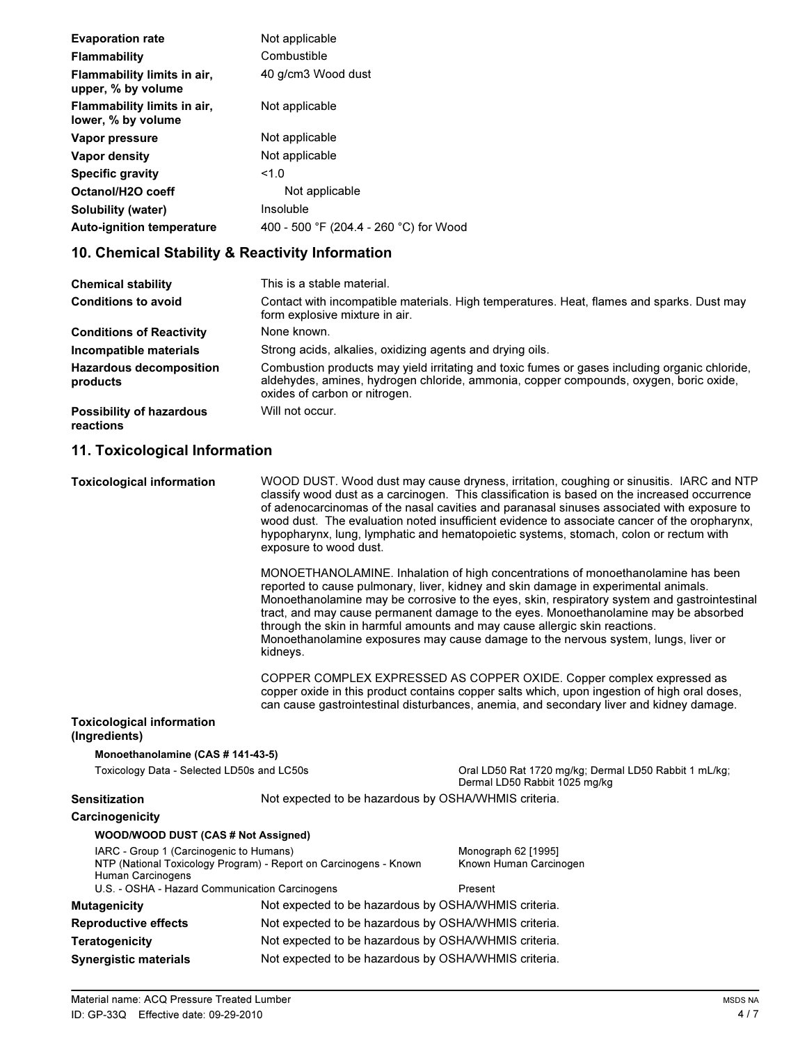| <b>Evaporation rate</b>                           | Not applicable                         |
|---------------------------------------------------|----------------------------------------|
| <b>Flammability</b>                               | Combustible                            |
| Flammability limits in air,<br>upper, % by volume | 40 g/cm3 Wood dust                     |
| Flammability limits in air,<br>lower, % by volume | Not applicable                         |
| Vapor pressure                                    | Not applicable                         |
| Vapor density                                     | Not applicable                         |
| <b>Specific gravity</b>                           | 1.0                                    |
| Octanol/H2O coeff                                 | Not applicable                         |
| Solubility (water)                                | Insoluble                              |
| <b>Auto-ignition temperature</b>                  | 400 - 500 °F (204.4 - 260 °C) for Wood |
|                                                   |                                        |

### **10. Chemical Stability & Reactivity Information**

| <b>Chemical stability</b>                    | This is a stable material.                                                                                                                                                                                              |  |
|----------------------------------------------|-------------------------------------------------------------------------------------------------------------------------------------------------------------------------------------------------------------------------|--|
| <b>Conditions to avoid</b>                   | Contact with incompatible materials. High temperatures. Heat, flames and sparks. Dust may<br>form explosive mixture in air.                                                                                             |  |
| <b>Conditions of Reactivity</b>              | None known.                                                                                                                                                                                                             |  |
| Incompatible materials                       | Strong acids, alkalies, oxidizing agents and drying oils.                                                                                                                                                               |  |
| <b>Hazardous decomposition</b><br>products   | Combustion products may yield irritating and toxic fumes or gases including organic chloride.<br>aldehydes, amines, hydrogen chloride, ammonia, copper compounds, oxygen, boric oxide,<br>oxides of carbon or nitrogen. |  |
| <b>Possibility of hazardous</b><br>reactions | Will not occur.                                                                                                                                                                                                         |  |

#### **11. Toxicological Information**

**Toxicological information** WOOD DUST. Wood dust may cause dryness, irritation, coughing or sinusitis. IARC and NTP classify wood dust as a carcinogen. This classification is based on the increased occurrence of adenocarcinomas of the nasal cavities and paranasal sinuses associated with exposure to wood dust. The evaluation noted insufficient evidence to associate cancer of the oropharynx, hypopharynx, lung, lymphatic and hematopoietic systems, stomach, colon or rectum with exposure to wood dust.

> MONOETHANOLAMINE. Inhalation of high concentrations of monoethanolamine has been reported to cause pulmonary, liver, kidney and skin damage in experimental animals. Monoethanolamine may be corrosive to the eyes, skin, respiratory system and gastrointestinal tract, and may cause permanent damage to the eyes. Monoethanolamine may be absorbed through the skin in harmful amounts and may cause allergic skin reactions. Monoethanolamine exposures may cause damage to the nervous system, lungs, liver or kidneys.

COPPER COMPLEX EXPRESSED AS COPPER OXIDE. Copper complex expressed as copper oxide in this product contains copper salts which, upon ingestion of high oral doses, can cause gastrointestinal disturbances, anemia, and secondary liver and kidney damage.

#### **Toxicological information (Ingredients)**

### **Monoethanolamine (CAS # 141-43-5)**

**WOOD** 2000 DUST (CAS # NOT ASSIGNED)

Toxicology Data - Selected LD50s and LC50s

Oral LD50 Rat 1720 mg/kg; Dermal LD50 Rabbit 1 mL/kg; Dermal LD50 Rabbit 1025 mg/kg

#### Sensitization **Sensitization** Not expected to be hazardous by OSHA/WHMIS criteria.

#### **Carcinogenicity**

| WOOD/WOOD DUST (CAS # NOT ASSIGNED)            |                                                                   |                        |
|------------------------------------------------|-------------------------------------------------------------------|------------------------|
| IARC - Group 1 (Carcinogenic to Humans)        |                                                                   | Monograph 62 [1995]    |
| Human Carcinogens                              | NTP (National Toxicology Program) - Report on Carcinogens - Known | Known Human Carcinogen |
| U.S. - OSHA - Hazard Communication Carcinogens |                                                                   | Present                |
| Mutagenicity                                   | Not expected to be hazardous by OSHA/WHMIS criteria.              |                        |
| <b>Reproductive effects</b>                    | Not expected to be hazardous by OSHA/WHMIS criteria.              |                        |
| Teratogenicity                                 | Not expected to be hazardous by OSHA/WHMIS criteria.              |                        |
| <b>Synergistic materials</b>                   | Not expected to be hazardous by OSHA/WHMIS criteria.              |                        |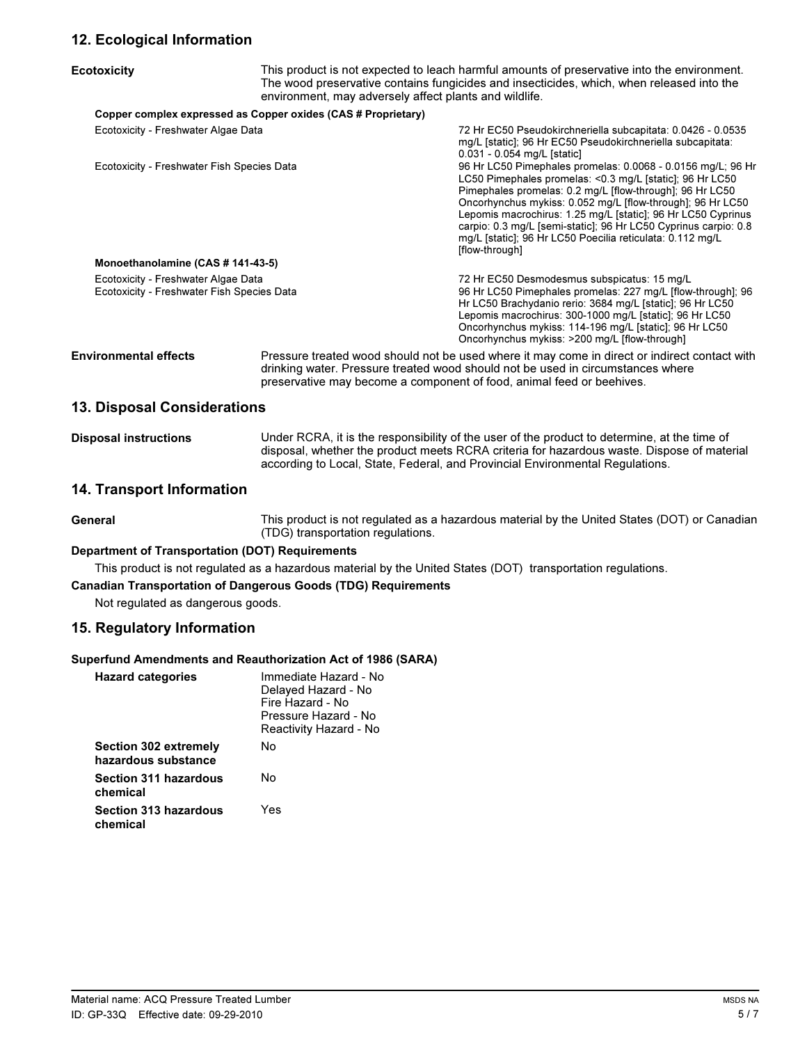### . **12. Ecological Information**

| <b>Ecotoxicity</b>                                                                | This product is not expected to leach harmful amounts of preservative into the environment.<br>The wood preservative contains fungicides and insecticides, which, when released into the<br>environment, may adversely affect plants and wildlife.        |                                                                                                                                                                                                                                                                                                                                                                                                                                                                      |  |
|-----------------------------------------------------------------------------------|-----------------------------------------------------------------------------------------------------------------------------------------------------------------------------------------------------------------------------------------------------------|----------------------------------------------------------------------------------------------------------------------------------------------------------------------------------------------------------------------------------------------------------------------------------------------------------------------------------------------------------------------------------------------------------------------------------------------------------------------|--|
|                                                                                   | Copper complex expressed as Copper oxides (CAS # Proprietary)                                                                                                                                                                                             |                                                                                                                                                                                                                                                                                                                                                                                                                                                                      |  |
| Ecotoxicity - Freshwater Algae Data                                               |                                                                                                                                                                                                                                                           | 72 Hr EC50 Pseudokirchneriella subcapitata: 0.0426 - 0.0535<br>mg/L [static]; 96 Hr EC50 Pseudokirchneriella subcapitata:<br>0.031 - 0.054 mg/L [static]                                                                                                                                                                                                                                                                                                             |  |
| Ecotoxicity - Freshwater Fish Species Data                                        |                                                                                                                                                                                                                                                           | 96 Hr LC50 Pimephales promelas: 0.0068 - 0.0156 mg/L; 96 Hr<br>LC50 Pimephales promelas: < 0.3 mg/L [static]; 96 Hr LC50<br>Pimephales promelas: 0.2 mg/L [flow-through]; 96 Hr LC50<br>Oncorhynchus mykiss: 0.052 mg/L [flow-through]; 96 Hr LC50<br>Lepomis macrochirus: 1.25 mg/L [static]; 96 Hr LC50 Cyprinus<br>carpio: 0.3 mg/L [semi-static]; 96 Hr LC50 Cyprinus carpio: 0.8<br>mg/L [static]; 96 Hr LC50 Poecilia reticulata: 0.112 mg/L<br>[flow-through] |  |
| Monoethanolamine (CAS # 141-43-5)                                                 |                                                                                                                                                                                                                                                           |                                                                                                                                                                                                                                                                                                                                                                                                                                                                      |  |
| Ecotoxicity - Freshwater Algae Data<br>Ecotoxicity - Freshwater Fish Species Data |                                                                                                                                                                                                                                                           | 72 Hr EC50 Desmodesmus subspicatus: 15 mg/L<br>96 Hr LC50 Pimephales promelas: 227 mg/L [flow-through]; 96<br>Hr LC50 Brachydanio rerio: 3684 mg/L [static]; 96 Hr LC50<br>Lepomis macrochirus: 300-1000 mg/L [static]; 96 Hr LC50<br>Oncorhynchus mykiss: 114-196 mg/L [static]; 96 Hr LC50<br>Oncorhynchus mykiss: >200 mg/L [flow-through]                                                                                                                        |  |
| <b>Environmental effects</b>                                                      | Pressure treated wood should not be used where it may come in direct or indirect contact with<br>drinking water. Pressure treated wood should not be used in circumstances where<br>preservative may become a component of food, animal feed or beehives. |                                                                                                                                                                                                                                                                                                                                                                                                                                                                      |  |
| <b>13. Disposal Considerations</b>                                                |                                                                                                                                                                                                                                                           |                                                                                                                                                                                                                                                                                                                                                                                                                                                                      |  |

| <b>Disposal instructions</b> | Under RCRA, it is the responsibility of the user of the product to determine, at the time of |
|------------------------------|----------------------------------------------------------------------------------------------|
|                              | disposal, whether the product meets RCRA criteria for hazardous waste. Dispose of material   |
|                              | according to Local, State, Federal, and Provincial Environmental Regulations.                |

### . **14. Transport Information**

| General | This product is not regulated as a hazardous material by the United States (DOT) or Canadian |
|---------|----------------------------------------------------------------------------------------------|
|         | (TDG) transportation regulations.                                                            |

#### **Department of Transportation (DOT) Requirements**

This product is not regulated as a hazardous material by the United States (DOT) transportation regulations.

### **Canadian Transportation of Dangerous Goods (TDG) Requirements** space

Not regulated as dangerous goods.

#### **15. Regulatory Information**

#### **Superfund Amendments and Reauthorization Act of 1986 (SARA)**

| <b>Hazard categories</b>                            | Immediate Hazard - No<br>Delayed Hazard - No<br>Fire Hazard - No<br>Pressure Hazard - No<br>Reactivity Hazard - No |
|-----------------------------------------------------|--------------------------------------------------------------------------------------------------------------------|
| <b>Section 302 extremely</b><br>hazardous substance | N٥                                                                                                                 |
| <b>Section 311 hazardous</b><br>chemical            | N٥                                                                                                                 |
| <b>Section 313 hazardous</b><br>chemical            | Yes                                                                                                                |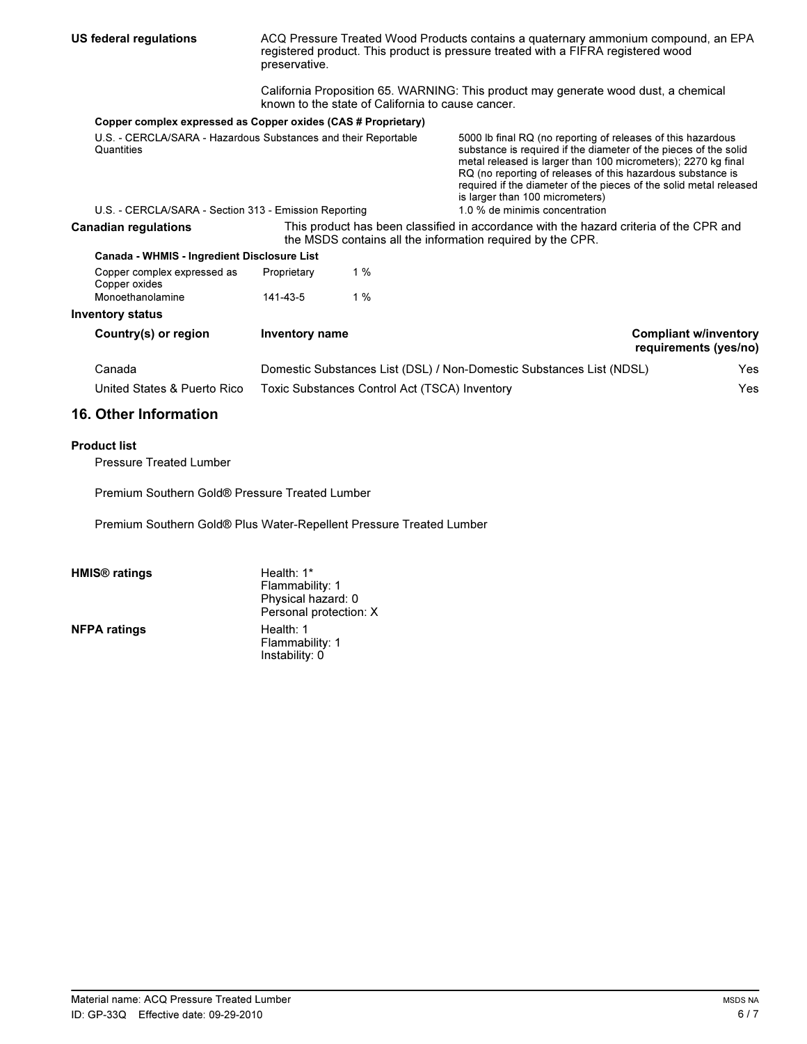| US federal regulations                                                                                                                | ACQ Pressure Treated Wood Products contains a quaternary ammonium compound, an EPA<br>registered product. This product is pressure treated with a FIFRA registered wood<br>preservative.<br>California Proposition 65. WARNING: This product may generate wood dust, a chemical |                                                             |                                                                                                                                                                                                                                                                                                                                                                                                             |                                                       |  |
|---------------------------------------------------------------------------------------------------------------------------------------|---------------------------------------------------------------------------------------------------------------------------------------------------------------------------------------------------------------------------------------------------------------------------------|-------------------------------------------------------------|-------------------------------------------------------------------------------------------------------------------------------------------------------------------------------------------------------------------------------------------------------------------------------------------------------------------------------------------------------------------------------------------------------------|-------------------------------------------------------|--|
|                                                                                                                                       | known to the state of California to cause cancer.                                                                                                                                                                                                                               |                                                             |                                                                                                                                                                                                                                                                                                                                                                                                             |                                                       |  |
| Copper complex expressed as Copper oxides (CAS # Proprietary)                                                                         |                                                                                                                                                                                                                                                                                 |                                                             |                                                                                                                                                                                                                                                                                                                                                                                                             |                                                       |  |
| U.S. - CERCLA/SARA - Hazardous Substances and their Reportable<br>Quantities<br>U.S. - CERCLA/SARA - Section 313 - Emission Reporting |                                                                                                                                                                                                                                                                                 |                                                             | 5000 lb final RQ (no reporting of releases of this hazardous<br>substance is required if the diameter of the pieces of the solid<br>metal released is larger than 100 micrometers); 2270 kg final<br>RQ (no reporting of releases of this hazardous substance is<br>required if the diameter of the pieces of the solid metal released<br>is larger than 100 micrometers)<br>1.0 % de minimis concentration |                                                       |  |
| <b>Canadian regulations</b>                                                                                                           | This product has been classified in accordance with the hazard criteria of the CPR and<br>the MSDS contains all the information required by the CPR.                                                                                                                            |                                                             |                                                                                                                                                                                                                                                                                                                                                                                                             |                                                       |  |
| Canada - WHMIS - Ingredient Disclosure List                                                                                           |                                                                                                                                                                                                                                                                                 |                                                             |                                                                                                                                                                                                                                                                                                                                                                                                             |                                                       |  |
| Copper complex expressed as<br>Copper oxides                                                                                          | Proprietary                                                                                                                                                                                                                                                                     | 1%                                                          |                                                                                                                                                                                                                                                                                                                                                                                                             |                                                       |  |
| Monoethanolamine                                                                                                                      | 141-43-5                                                                                                                                                                                                                                                                        | $1\%$                                                       |                                                                                                                                                                                                                                                                                                                                                                                                             |                                                       |  |
| <b>Inventory status</b>                                                                                                               |                                                                                                                                                                                                                                                                                 |                                                             |                                                                                                                                                                                                                                                                                                                                                                                                             |                                                       |  |
| Country(s) or region                                                                                                                  | Inventory name                                                                                                                                                                                                                                                                  |                                                             |                                                                                                                                                                                                                                                                                                                                                                                                             | <b>Compliant w/inventory</b><br>requirements (yes/no) |  |
| Canada                                                                                                                                | Domestic Substances List (DSL) / Non-Domestic Substances List (NDSL)<br>Yes.                                                                                                                                                                                                    |                                                             |                                                                                                                                                                                                                                                                                                                                                                                                             |                                                       |  |
| United States & Puerto Rico                                                                                                           |                                                                                                                                                                                                                                                                                 | <b>Yes</b><br>Toxic Substances Control Act (TSCA) Inventory |                                                                                                                                                                                                                                                                                                                                                                                                             |                                                       |  |

### . **16. Other Information**

### **Product list**

Pressure Treated Lumber

Premium Southern Gold® Pressure Treated Lumber

Premium Southern Gold® Plus Water-Repellent Pressure Treated Lumber

**NFPA ratings** 

Health: 1\* Flammability: 1 Physical hazard: 0 Personal protection: X Flammability: 1 Instability: 0